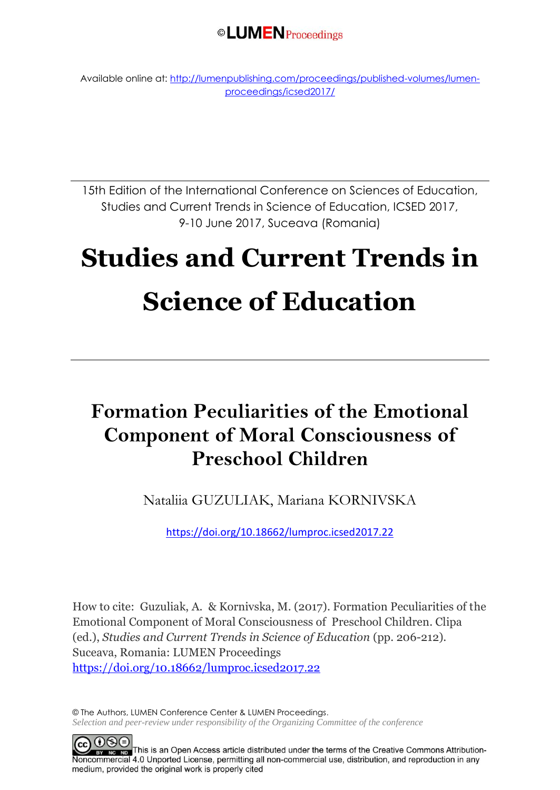©LUMEN<sub>Proceedings</sub>

Available online at[: http://lumenpublishing.com/proceedings/published-volumes/lumen](http://lumenpublishing.com/proceedings/published-volumes/lumen-proceedings/icsed2017/)[proceedings/icsed2017/](http://lumenpublishing.com/proceedings/published-volumes/lumen-proceedings/icsed2017/)

15th Edition of the International Conference on Sciences of Education, Studies and Current Trends in Science of Education, ICSED 2017, 9-10 June 2017, Suceava (Romania)

# **Studies and Current Trends in Science of Education**

# **Formation Peculiarities of the Emotional Component of Moral Consciousness of Preschool Children**

Nataliia GUZULIAK, Mariana KORNIVSKA

<https://doi.org/10.18662/lumproc.icsed2017.22>

How to cite: Guzuliak, A. & Kornivska, M. (2017). Formation Peculiarities of the Emotional Component of Moral Consciousness of Preschool Children. Clipa (ed.), *Studies and Current Trends in Science of Education* (pp. 206-212). Suceava, Romania: LUMEN Proceedings <https://doi.org/10.18662/lumproc.icsed2017.22>

© The Authors, LUMEN Conference Center & LUMEN Proceedings. *Selection and peer-review under responsibility of the Organizing Committee of the conference*

 $0$ 90 BY NG ND This is an Open Access article distributed under the terms of the Creative Commons Attribution-Noncommercial 4.0 Unported License, permitting all non-commercial use, distribution, and reproduction in any medium, provided the original work is properly cited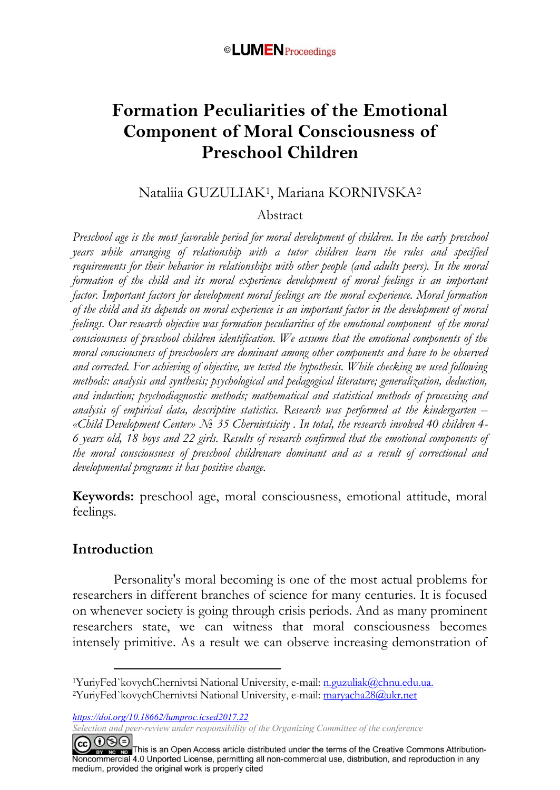# **Formation Peculiarities of the Emotional Component of Moral Consciousness of Preschool Children**

#### Nataliia GUZULIAK<sup>1</sup> , Mariana KORNIVSKA<sup>2</sup>

#### Abstract

*Preschool age is the most favorable period for moral development of children. In the early preschool years while arranging of relationship with a tutor children learn the rules and specified requirements for their behavior in relationships with other people (and adults peers). In the moral formation of the child and its moral experience development of moral feelings is an important factor. Important factors for development moral feelings are the moral experience. Moral formation of the child and its depends on moral experience is an important factor in the development of moral feelings. Our research objective was formation peculiarities of the emotional component of the moral consciousness of preschool children identification. We assume that the emotional components of the moral consciousness of preschoolers are dominant among other components and have to be observed and corrected. For achieving of objective, we tested the hypothesis. While checking we used following methods: analysis and synthesis; psychological and pedagogical literature; generalization, deduction, and induction; psychodiagnostic methods; mathematical and statistical methods of processing and analysis of empirical data, descriptive statistics. Research was performed at the kindergarten – «Child Development Center» № 35 Chernivtsicity . In total, the research involved 40 children 4- 6 years old, 18 boys and 22 girls. Results of research confirmed that the emotional components of the moral consciousness of preschool childrenare dominant and as a result of correctional and developmental programs it has positive change.*

**Keywords:** preschool age, moral consciousness, emotional attitude, moral feelings.

#### **Introduction**

<u>.</u>

Personality's moral becoming is one of the most actual problems for researchers in different branches of science for many centuries. It is focused on whenever society is going through crisis periods. And as many prominent researchers state, we can witness that moral consciousness becomes intensely primitive. As a result we can observe increasing demonstration of

*https://doi.org/10.18662/lumproc.icsed2017.22*

*Selection and peer-review under responsibility of the Organizing Committee of the conference*

CC O S E<br> **EXECUTE:** This is an Open Access article distributed under the terms of the Creative Commons Attribution-<br>Noncommercial 4.0 Unported License, permitting all non-commercial use, distribution, and reproduction in medium, provided the original work is properly cited

<sup>&</sup>lt;sup>1</sup>YuriyFed`kovychChernivtsi National University, e-mail: n.guzuliak@chnu.edu.ua. <sup>2</sup>YuriyFed`kovychChernivtsi National University, e-mail: maryacha28@ukr.net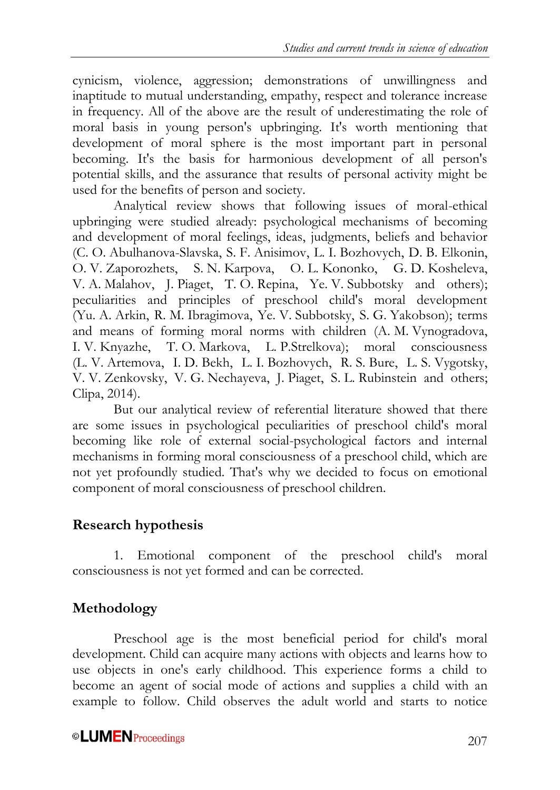cynicism, violence, aggression; demonstrations of unwillingness and inaptitude to mutual understanding, empathy, respect and tolerance increase in frequency. All of the above are the result of underestimating the role of moral basis in young person's upbringing. It's worth mentioning that development of moral sphere is the most important part in personal becoming. It's the basis for harmonious development of all person's potential skills, and the assurance that results of personal activity might be used for the benefits of person and society.

Analytical review shows that following issues of moral-ethical upbringing were studied already: psychological mechanisms of becoming and development of moral feelings, ideas, judgments, beliefs and behavior (C. O. Abulhanova-Slavska, S. F. Anisimov, L. I. Bozhovych, D. B. Elkonin, O. V. Zaporozhets, S. N. Karpova, O. L. Kononko, G. D. Kosheleva, V. A. Malahov, J. Piaget, T. O. Repina, Ye. V. Subbotsky and others); peculiarities and principles of preschool child's moral development (Yu. A. Arkin, R. M. Ibragimova, Ye. V. Subbotsky, S. G. Yakobson); terms and means of forming moral norms with children (A. M. Vynogradova, I. V. Knyazhe, T. O. Markova, L. P.Strelkova); moral consciousness (L. V. Artemova, I. D. Bekh, L. I. Bozhovych, R. S. Bure, L. S. Vygotsky, V. V. Zenkovsky, V. G. Nechayeva, J. Piaget, S. L. Rubinstein and others; Clipa, 2014).

But our analytical review of referential literature showed that there are some issues in psychological peculiarities of preschool child's moral becoming like role of external social-psychological factors and internal mechanisms in forming moral consciousness of a preschool child, which are not yet profoundly studied. That's why we decided to focus on emotional component of moral consciousness of preschool children.

## **Research hypothesis**

1. Emotional component of the preschool child's moral consciousness is not yet formed and can be corrected.

## **Methodology**

Preschool age is the most beneficial period for child's moral development. Child can acquire many actions with objects and learns how to use objects in one's early childhood. This experience forms a child to become an agent of social mode of actions and supplies a child with an example to follow. Child observes the adult world and starts to notice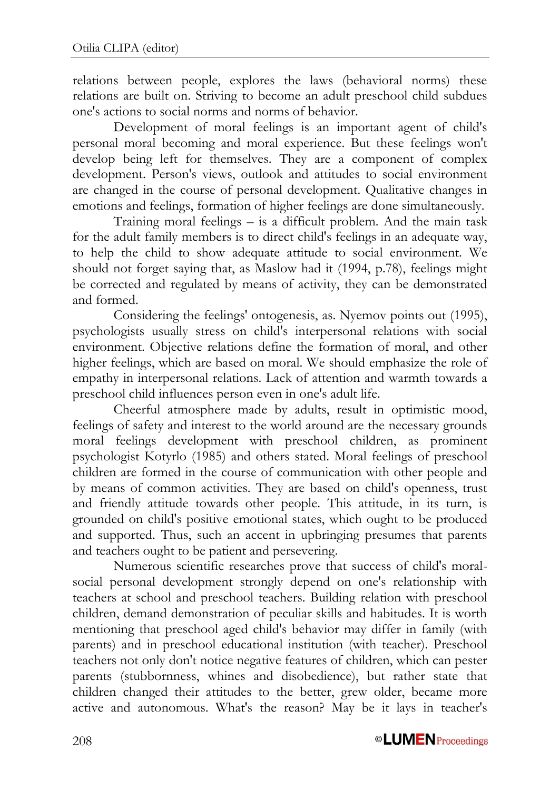relations between people, explores the laws (behavioral norms) these relations are built on. Striving to become an adult preschool child subdues one's actions to social norms and norms of behavior.

Development of moral feelings is an important agent of child's personal moral becoming and moral experience. But these feelings won't develop being left for themselves. They are a component of complex development. Person's views, outlook and attitudes to social environment are changed in the course of personal development. Qualitative changes in emotions and feelings, formation of higher feelings are done simultaneously.

Training moral feelings – is a difficult problem. And the main task for the adult family members is to direct child's feelings in an adequate way, to help the child to show adequate attitude to social environment. We should not forget saying that, as Maslow had it (1994, p.78), feelings might be corrected and regulated by means of activity, they can be demonstrated and formed.

Considering the feelings' ontogenesis, as. Nyemov points out (1995), psychologists usually stress on child's interpersonal relations with social environment. Objective relations define the formation of moral, and other higher feelings, which are based on moral. We should emphasize the role of empathy in interpersonal relations. Lack of attention and warmth towards a preschool child influences person even in one's adult life.

Cheerful atmosphere made by adults, result in optimistic mood, feelings of safety and interest to the world around are the necessary grounds moral feelings development with preschool children, as prominent psychologist Kotyrlo (1985) and others stated. Moral feelings of preschool children are formed in the course of communication with other people and by means of common activities. They are based on child's openness, trust and friendly attitude towards other people. This attitude, in its turn, is grounded on child's positive emotional states, which ought to be produced and supported. Thus, such an accent in upbringing presumes that parents and teachers ought to be patient and persevering.

Numerous scientific researches prove that success of child's moralsocial personal development strongly depend on one's relationship with teachers at school and preschool teachers. Building relation with preschool children, demand demonstration of peculiar skills and habitudes. It is worth mentioning that preschool aged child's behavior may differ in family (with parents) and in preschool educational institution (with teacher). Preschool teachers not only don't notice negative features of children, which can pester parents (stubbornness, whines and disobedience), but rather state that children changed their attitudes to the better, grew older, became more active and autonomous. What's the reason? May be it lays in teacher's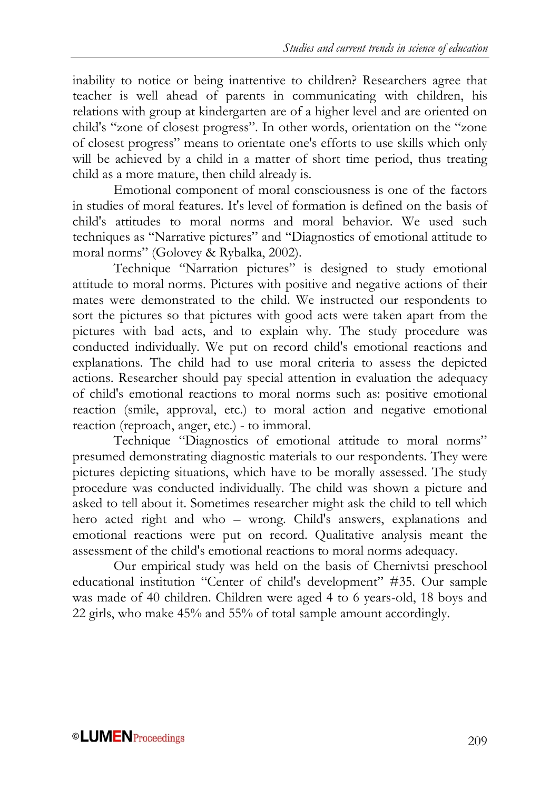inability to notice or being inattentive to children? Researchers agree that teacher is well ahead of parents in communicating with children, his relations with group at kindergarten are of a higher level and are oriented on child's "zone of closest progress". In other words, orientation on the "zone of closest progress" means to orientate one's efforts to use skills which only will be achieved by a child in a matter of short time period, thus treating child as a more mature, then child already is.

Emotional component of moral consciousness is one of the factors in studies of moral features. It's level of formation is defined on the basis of child's attitudes to moral norms and moral behavior. We used such techniques as "Narrative pictures" and "Diagnostics of emotional attitude to moral norms" (Golovey & Rybalka, 2002).

Technique "Narration pictures" is designed to study emotional attitude to moral norms. Pictures with positive and negative actions of their mates were demonstrated to the child. We instructed our respondents to sort the pictures so that pictures with good acts were taken apart from the pictures with bad acts, and to explain why. The study procedure was conducted individually. We put on record child's emotional reactions and explanations. The child had to use moral criteria to assess the depicted actions. Researcher should pay special attention in evaluation the adequacy of child's emotional reactions to moral norms such as: positive emotional reaction (smile, approval, etc.) to moral action and negative emotional reaction (reproach, anger, etc.) - to immoral.

Technique "Diagnostics of emotional attitude to moral norms" presumed demonstrating diagnostic materials to our respondents. They were pictures depicting situations, which have to be morally assessed. The study procedure was conducted individually. The child was shown a picture and asked to tell about it. Sometimes researcher might ask the child to tell which hero acted right and who – wrong. Child's answers, explanations and emotional reactions were put on record. Qualitative analysis meant the assessment of the child's emotional reactions to moral norms adequacy.

Our empirical study was held on the basis of Chernivtsi preschool educational institution "Center of child's development" #35. Our sample was made of 40 children. Children were aged 4 to 6 years-old, 18 boys and 22 girls, who make 45% and 55% of total sample amount accordingly.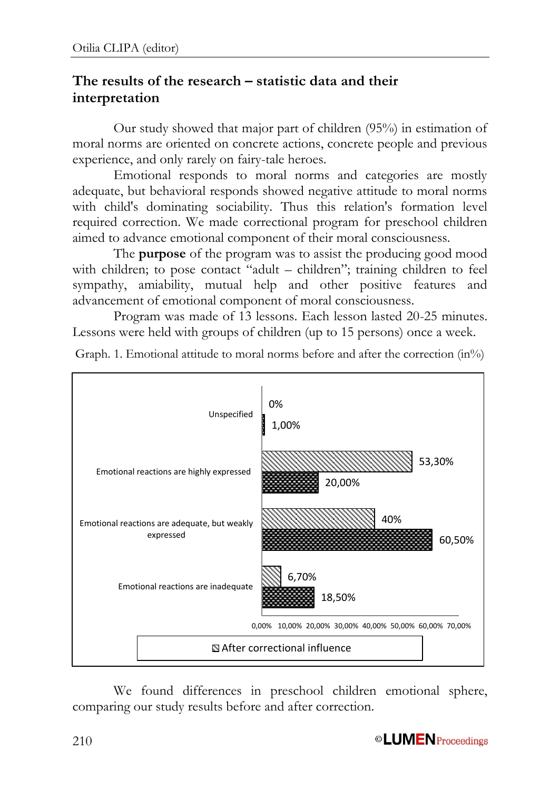## **The results of the research – statistic data and their interpretation**

Our study showed that major part of children (95%) in estimation of moral norms are oriented on concrete actions, concrete people and previous experience, and only rarely on fairy-tale heroes.

Emotional responds to moral norms and categories are mostly adequate, but behavioral responds showed negative attitude to moral norms with child's dominating sociability. Thus this relation's formation level required correction. We made correctional program for preschool children aimed to advance emotional component of their moral consciousness.

The **purpose** of the program was to assist the producing good mood with children; to pose contact "adult – children"; training children to feel sympathy, amiability, mutual help and other positive features and advancement of emotional component of moral consciousness.

Program was made of 13 lessons. Each lesson lasted 20-25 minutes. Lessons were held with groups of children (up to 15 persons) once a week.



Graph. 1. Emotional attitude to moral norms before and after the correction  $(in\%)$ 

We found differences in preschool children emotional sphere, comparing our study results before and after correction.

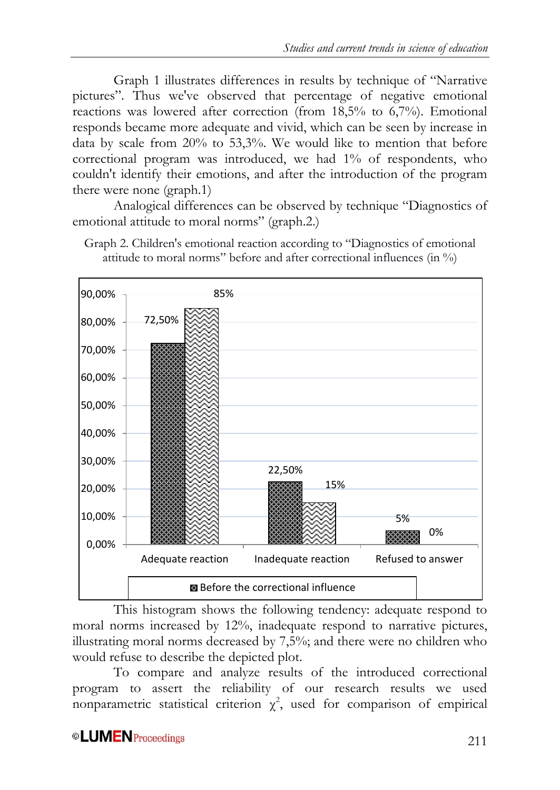Graph 1 illustrates differences in results by technique of "Narrative pictures". Thus we've observed that percentage of negative emotional reactions was lowered after correction (from 18,5% to 6,7%). Emotional responds became more adequate and vivid, which can be seen by increase in data by scale from 20% to 53,3%. We would like to mention that before correctional program was introduced, we had 1% of respondents, who couldn't identify their emotions, and after the introduction of the program there were none (graph.1)

Analogical differences can be observed by technique "Diagnostics of emotional attitude to moral norms" (graph.2.)





This histogram shows the following tendency: adequate respond to moral norms increased by 12%, inadequate respond to narrative pictures, illustrating moral norms decreased by 7,5%; and there were no children who would refuse to describe the depicted plot.

To compare and analyze results of the introduced correctional program to assert the reliability of our research results we used nonparametric statistical criterion  $\chi^2$ , used for comparison of empirical

#### ©LUMEN Proceedings